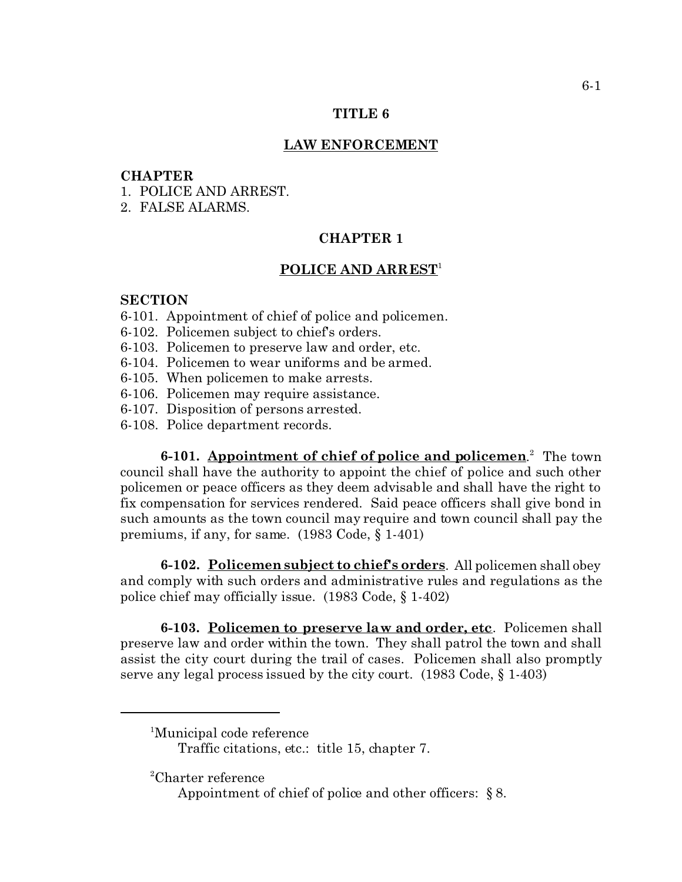#### **TITLE 6**

#### **LAW ENFORCEMENT**

#### **CHAPTER**

- 1. POLICE AND ARREST.
- 2. FALSE ALARMS.

## **CHAPTER 1**

### **POLICE AND ARREST**<sup>1</sup>

### **SECTION**

- 6-101. Appointment of chief of police and policemen.
- 6-102. Policemen subject to chief's orders.
- 6-103. Policemen to preserve law and order, etc.
- 6-104. Policemen to wear uniforms and be armed.
- 6-105. When policemen to make arrests.
- 6-106. Policemen may require assistance.
- 6-107. Disposition of persons arrested.
- 6-108. Police department records.

**6-101.** Appointment of chief of police and policemen.<sup>2</sup> The town council shall have the authority to appoint the chief of police and such other policemen or peace officers as they deem advisable and shall have the right to fix compensation for services rendered. Said peace officers shall give bond in such amounts as the town council may require and town council shall pay the premiums, if any, for same. (1983 Code, § 1-401)

**6-102. Policemen subject to chief's orders**. All policemen shall obey and comply with such orders and administrative rules and regulations as the police chief may officially issue. (1983 Code, § 1-402)

**6-103. Policemen to preserve law and order, etc**. Policemen shall preserve law and order within the town. They shall patrol the town and shall assist the city court during the trail of cases. Policemen shall also promptly serve any legal process issued by the city court. (1983 Code, § 1-403)

<sup>2</sup>Charter reference

<sup>1</sup>Municipal code reference

Traffic citations, etc.: title 15, chapter 7.

Appointment of chief of police and other officers: § 8.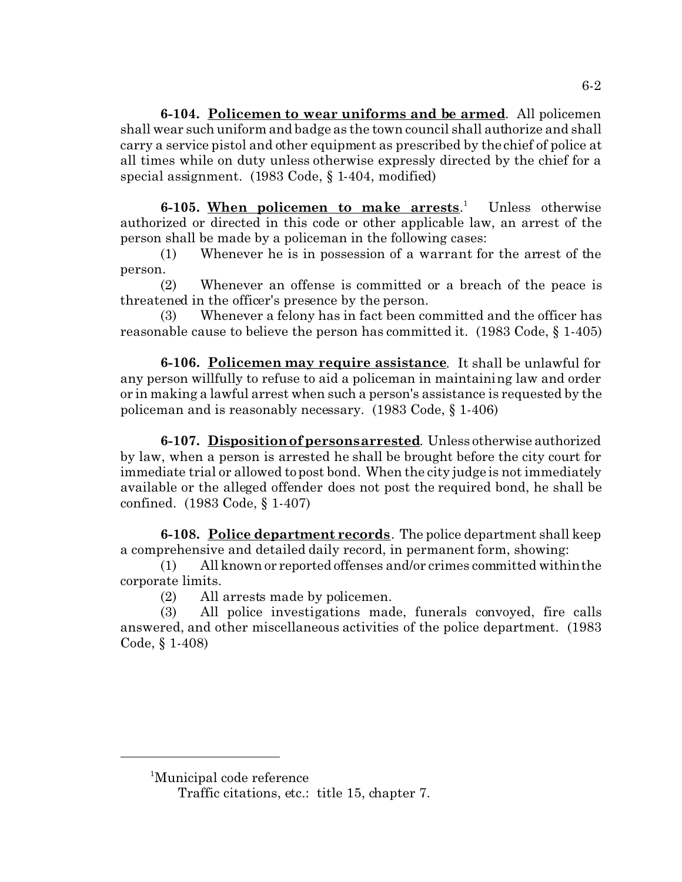**6-104. Policemen to wear uniforms and be armed**. All policemen shall wear such uniform and badge as the town council shall authorize and shall carry a service pistol and other equipment as prescribed by the chief of police at all times while on duty unless otherwise expressly directed by the chief for a special assignment. (1983 Code, § 1-404, modified)

**6-105. When policemen to make arrests**. 1 Unless otherwise authorized or directed in this code or other applicable law, an arrest of the person shall be made by a policeman in the following cases:

(1) Whenever he is in possession of a warrant for the arrest of the person.

(2) Whenever an offense is committed or a breach of the peace is threatened in the officer's presence by the person.

(3) Whenever a felony has in fact been committed and the officer has reasonable cause to believe the person has committed it. (1983 Code, § 1-405)

**6-106. Policemen may require assistance**. It shall be unlawful for any person willfully to refuse to aid a policeman in maintaining law and order or in making a lawful arrest when such a person's assistance is requested by the policeman and is reasonably necessary. (1983 Code, § 1-406)

**6-107. Disposition of persons arrested**. Unless otherwise authorized by law, when a person is arrested he shall be brought before the city court for immediate trial or allowed to post bond. When the city judge is not immediately available or the alleged offender does not post the required bond, he shall be confined. (1983 Code, § 1-407)

**6-108. Police department records**. The police department shall keep a comprehensive and detailed daily record, in permanent form, showing:

(1) All known or reported offenses and/or crimes committed within the corporate limits.

(2) All arrests made by policemen.

(3) All police investigations made, funerals convoyed, fire calls answered, and other miscellaneous activities of the police department. (1983 Code, § 1-408)

<sup>1</sup>Municipal code reference

Traffic citations, etc.: title 15, chapter 7.